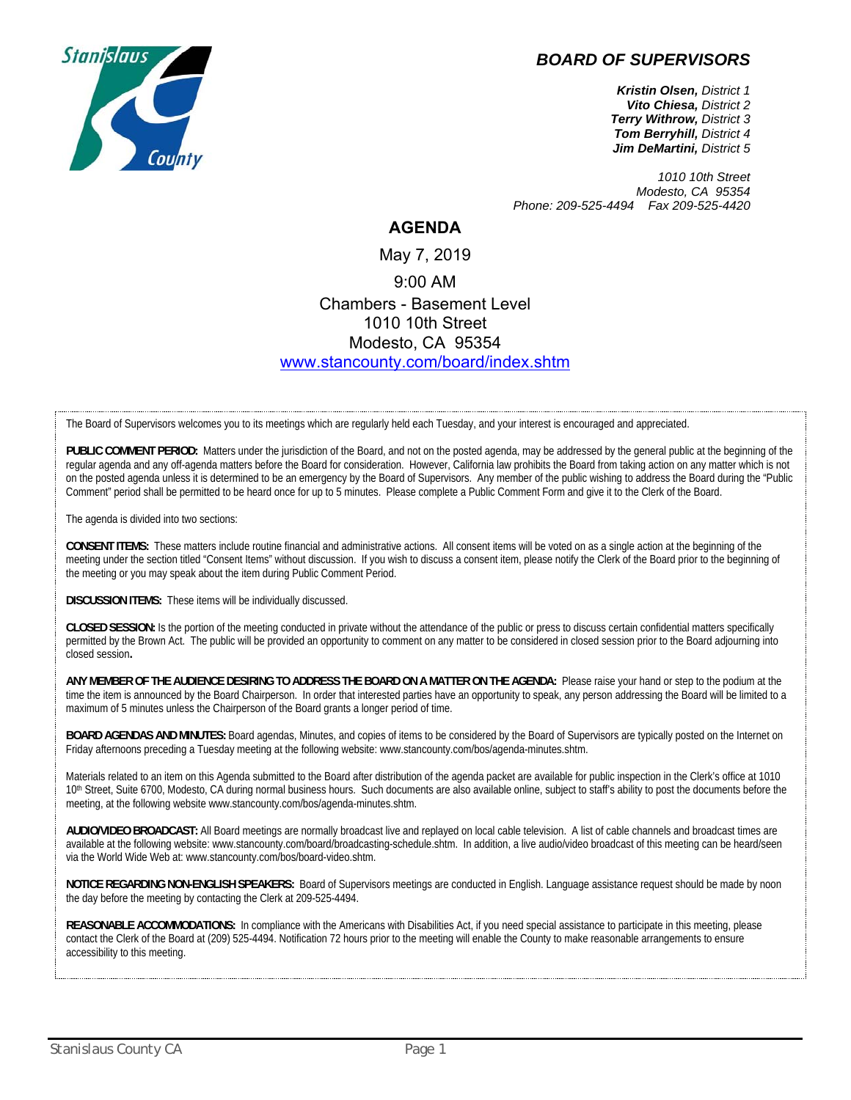

## *BOARD OF SUPERVISORS*

*Kristin Olsen, District 1 Vito Chiesa, District 2 Terry Withrow, District 3 Tom Berryhill, District 4 Jim DeMartini, District 5*

*1010 10th Street Modesto, CA 95354 Phone: 209-525-4494 Fax 209-525-4420* 

## **AGENDA**

## May 7, 2019 9:00 AM Chambers - Basement Level 1010 10th Street Modesto, CA 95354 www.stancounty.com/board/index.shtm

The Board of Supervisors welcomes you to its meetings which are regularly held each Tuesday, and your interest is encouraged and appreciated.

PUBLIC COMMENT PERIOD: Matters under the jurisdiction of the Board, and not on the posted agenda, may be addressed by the general public at the beginning of the regular agenda and any off-agenda matters before the Board for consideration. However, California law prohibits the Board from taking action on any matter which is not on the posted agenda unless it is determined to be an emergency by the Board of Supervisors. Any member of the public wishing to address the Board during the "Public Comment" period shall be permitted to be heard once for up to 5 minutes. Please complete a Public Comment Form and give it to the Clerk of the Board.

The agenda is divided into two sections:

**CONSENT ITEMS:** These matters include routine financial and administrative actions. All consent items will be voted on as a single action at the beginning of the meeting under the section titled "Consent Items" without discussion. If you wish to discuss a consent item, please notify the Clerk of the Board prior to the beginning of the meeting or you may speak about the item during Public Comment Period.

**DISCUSSION ITEMS:** These items will be individually discussed.

**CLOSED SESSION:** Is the portion of the meeting conducted in private without the attendance of the public or press to discuss certain confidential matters specifically permitted by the Brown Act. The public will be provided an opportunity to comment on any matter to be considered in closed session prior to the Board adjourning into closed session**.**

**ANY MEMBER OF THE AUDIENCE DESIRING TO ADDRESS THE BOARD ON A MATTER ON THE AGENDA:** Please raise your hand or step to the podium at the time the item is announced by the Board Chairperson. In order that interested parties have an opportunity to speak, any person addressing the Board will be limited to a maximum of 5 minutes unless the Chairperson of the Board grants a longer period of time.

**BOARD AGENDAS AND MINUTES:** Board agendas, Minutes, and copies of items to be considered by the Board of Supervisors are typically posted on the Internet on Friday afternoons preceding a Tuesday meeting at the following website: www.stancounty.com/bos/agenda-minutes.shtm.

Materials related to an item on this Agenda submitted to the Board after distribution of the agenda packet are available for public inspection in the Clerk's office at 1010 10<sup>th</sup> Street, Suite 6700, Modesto, CA during normal business hours. Such documents are also available online, subject to staff's ability to post the documents before the meeting, at the following website www.stancounty.com/bos/agenda-minutes.shtm.

**AUDIO/VIDEO BROADCAST:** All Board meetings are normally broadcast live and replayed on local cable television. A list of cable channels and broadcast times are available at the following website: www.stancounty.com/board/broadcasting-schedule.shtm. In addition, a live audio/video broadcast of this meeting can be heard/seen via the World Wide Web at: www.stancounty.com/bos/board-video.shtm.

**NOTICE REGARDING NON-ENGLISH SPEAKERS:** Board of Supervisors meetings are conducted in English. Language assistance request should be made by noon the day before the meeting by contacting the Clerk at 209-525-4494.

**REASONABLE ACCOMMODATIONS:** In compliance with the Americans with Disabilities Act, if you need special assistance to participate in this meeting, please contact the Clerk of the Board at (209) 525-4494. Notification 72 hours prior to the meeting will enable the County to make reasonable arrangements to ensure accessibility to this meeting.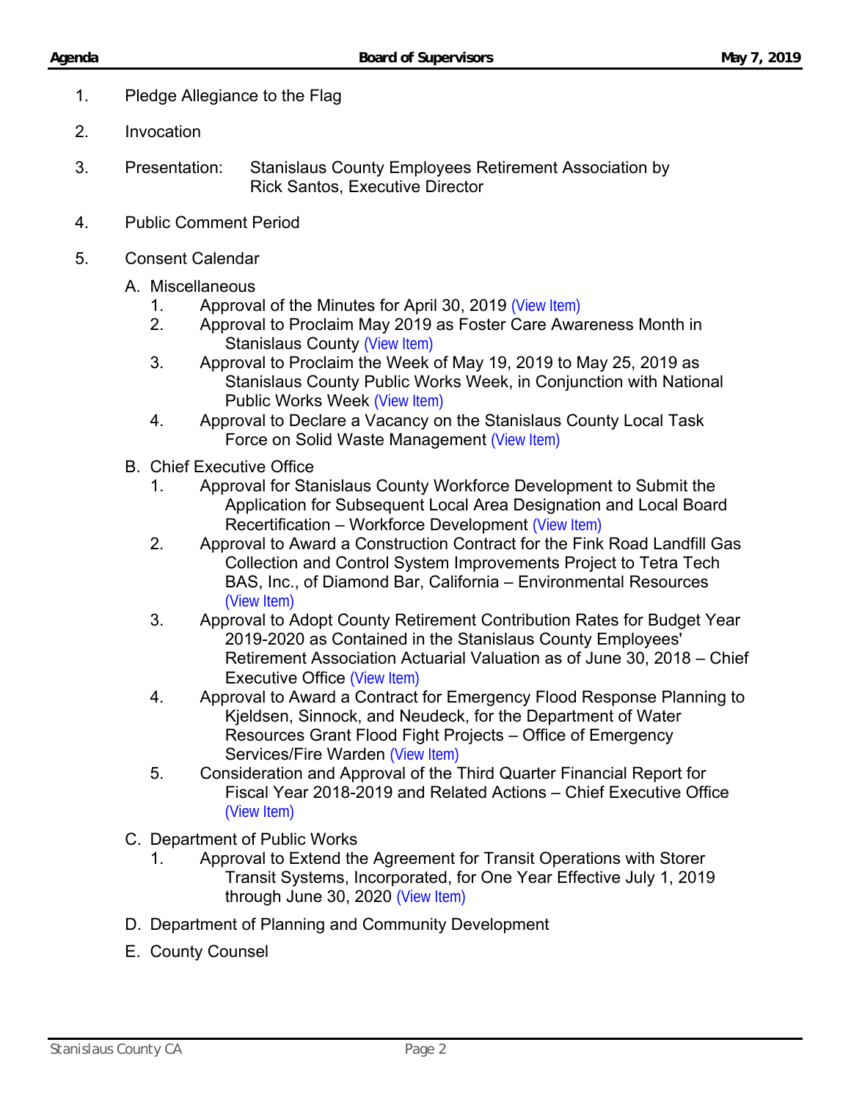- 1. Pledge Allegiance to the Flag
- 2. Invocation
- 3. Presentation: Stanislaus County Employees Retirement Association by Rick Santos, Executive Director
- 4. Public Comment Period
- 5. Consent Calendar
	- A. Miscellaneous
		- 1. Approval of the Minutes for April 30, 2019 [\(View Item\)](http://www.stancounty.com/bos/minutes/2019/min04-30-19.pdf)
		- 2. Approval to Proclaim May 2019 as Foster Care Awareness Month in Stanislaus County [\(View Item\)](http://stancounty.com/bos/agenda/2019/20190507/A02.pdf)
		- 3. Approval to Proclaim the Week of May 19, 2019 to May 25, 2019 as Stanislaus County Public Works Week, in Conjunction with National Public Works Week [\(View Item\)](http://stancounty.com/bos/agenda/2019/20190507/A03.pdf)
		- 4. Approval to Declare a Vacancy on the Stanislaus County Local Task Force on Solid Waste Management [\(View Item\)](http://stancounty.com/bos/agenda/2019/20190507/A04.pdf)
	- B. Chief Executive Office
		- 1. Approval for Stanislaus County Workforce Development to Submit the Application for Subsequent Local Area Designation and Local Board Recertification – Workforce Development [\(View Item\)](http://stancounty.com/bos/agenda/2019/20190507/B01.pdf)
		- 2. Approval to Award a Construction Contract for the Fink Road Landfill Gas Collection and Control System Improvements Project to Tetra Tech BAS, Inc., of Diamond Bar, California – Environmental Resources [\(View Item\)](http://stancounty.com/bos/agenda/2019/20190507/B02.pdf)
		- 3. Approval to Adopt County Retirement Contribution Rates for Budget Year 2019-2020 as Contained in the Stanislaus County Employees' Retirement Association Actuarial Valuation as of June 30, 2018 – Chief Executive Office [\(View Item\)](http://stancounty.com/bos/agenda/2019/20190507/B03.pdf)
		- 4. Approval to Award a Contract for Emergency Flood Response Planning to Kjeldsen, Sinnock, and Neudeck, for the Department of Water Resources Grant Flood Fight Projects – Office of Emergency Services/Fire Warden [\(View Item\)](http://stancounty.com/bos/agenda/2019/20190507/B04.pdf)
		- 5. Consideration and Approval of the Third Quarter Financial Report for Fiscal Year 2018-2019 and Related Actions – Chief Executive Office [\(View Item\)](http://stancounty.com/bos/agenda/2019/20190507/B05.pdf)
	- C. Department of Public Works
		- 1. Approval to Extend the Agreement for Transit Operations with Storer Transit Systems, Incorporated, for One Year Effective July 1, 2019 through June 30, 2020 [\(View Item\)](http://stancounty.com/bos/agenda/2019/20190507/C01.pdf)
	- D. Department of Planning and Community Development
	- E. County Counsel